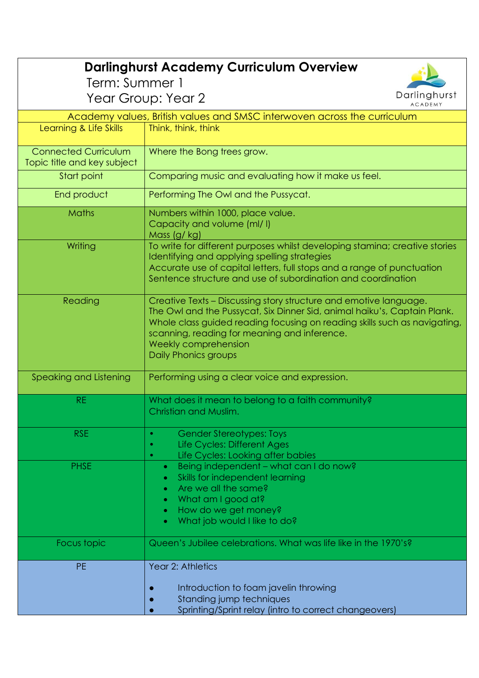| <b>Darlinghurst Academy Curriculum Overview</b><br>Term: Summer 1        |                                                                                                                                                                                                                                                                                                                            |
|--------------------------------------------------------------------------|----------------------------------------------------------------------------------------------------------------------------------------------------------------------------------------------------------------------------------------------------------------------------------------------------------------------------|
| Darlinghurst<br>Year Group: Year 2<br><b>ACADEMY</b>                     |                                                                                                                                                                                                                                                                                                                            |
| Academy values, British values and SMSC interwoven across the curriculum |                                                                                                                                                                                                                                                                                                                            |
| Learning & Life Skills                                                   | Think, think, think                                                                                                                                                                                                                                                                                                        |
| <b>Connected Curriculum</b><br>Topic title and key subject               | Where the Bong trees grow.                                                                                                                                                                                                                                                                                                 |
| Start point                                                              | Comparing music and evaluating how it make us feel.                                                                                                                                                                                                                                                                        |
| End product                                                              | Performing The Owl and the Pussycat.                                                                                                                                                                                                                                                                                       |
| <b>Maths</b>                                                             | Numbers within 1000, place value.<br>Capacity and volume (ml/l)<br>Mass (g/ kg)                                                                                                                                                                                                                                            |
| Writing                                                                  | To write for different purposes whilst developing stamina; creative stories<br>Identifying and applying spelling strategies<br>Accurate use of capital letters, full stops and a range of punctuation<br>Sentence structure and use of subordination and coordination                                                      |
| Reading                                                                  | Creative Texts - Discussing story structure and emotive language.<br>The Owl and the Pussycat, Six Dinner Sid, animal haiku's, Captain Plank.<br>Whole class guided reading focusing on reading skills such as navigating,<br>scanning, reading for meaning and inference.<br>Weekly comprehension<br>Daily Phonics groups |
| Speaking and Listening                                                   | Performing using a clear voice and expression.                                                                                                                                                                                                                                                                             |
| <b>RE</b>                                                                | What does it mean to belong to a faith community?<br><b>Christian and Muslim</b>                                                                                                                                                                                                                                           |
| <b>RSE</b>                                                               | <b>Gender Stereotypes: Toys</b><br>$\bullet$<br>Life Cycles: Different Ages<br>۰<br>Life Cycles: Looking after babies<br>$\bullet$                                                                                                                                                                                         |
| <b>PHSE</b>                                                              | Being independent - what can I do now?<br>$\bullet$<br>Skills for independent learning<br>۰<br>Are we all the same?<br>$\bullet$<br>What am I good at?<br>$\bullet$<br>How do we get money?<br>$\bullet$<br>What job would I like to do?                                                                                   |
| Focus topic                                                              | Queen's Jubilee celebrations. What was life like in the 1970's?                                                                                                                                                                                                                                                            |
| <b>PE</b>                                                                | Year 2: Athletics<br>Introduction to foam javelin throwing<br>Standing jump techniques<br>Sprinting/Sprint relay (intro to correct changeovers)                                                                                                                                                                            |